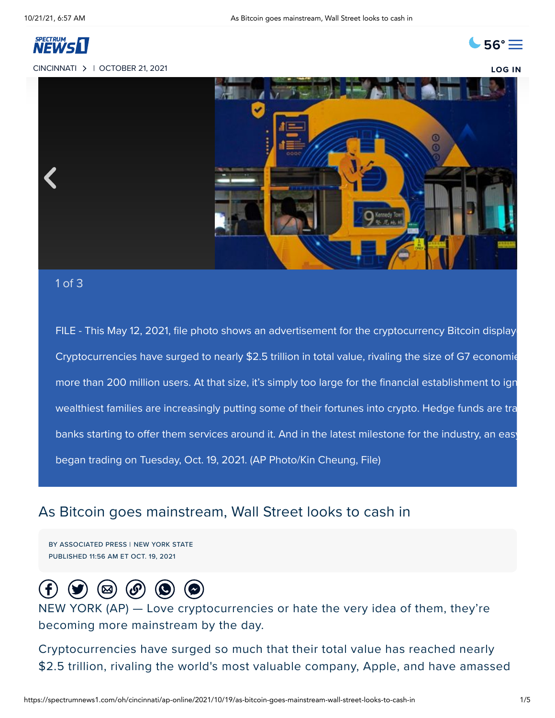

## [CINCINNATI](https://spectrumnews1.com/splash.html#oh) | OCTOBER 21, 2021 **[LOG](https://spectrumnews1.com/oh/cincinnati/live-video/login) IN**





## 1 of 3

FILE - This May 12, 2021, file photo shows an advertisement for the cryptocurrency Bitcoin displaye Cryptocurrencies have surged to nearly \$2.5 trillion in total value, rivaling the size of G7 economie more than 200 million users. At that size, it's simply too large for the financial establishment to ign wealthiest families are increasingly putting some of their fortunes into crypto. Hedge funds are tra banks starting to offer them services around it. And in the latest milestone for the industry, an easy began trading on Tuesday, Oct. 19, 2021. (AP Photo/Kin Cheung, File)

## As Bitcoin goes mainstream, Wall Street looks to cash in

BY ASSOCIATED PRESS | NEW YORK STATE PUBLISHED 11:56 AM ET OCT. 19, 2021



NEW YORK (AP) — Love cryptocurrencies or hate the very idea of them, they're becoming more mainstream by the day.

Cryptocurrencies have surged so much that their total value has reached nearly \$2.5 trillion, rivaling the world's most valuable company, Apple, and have amassed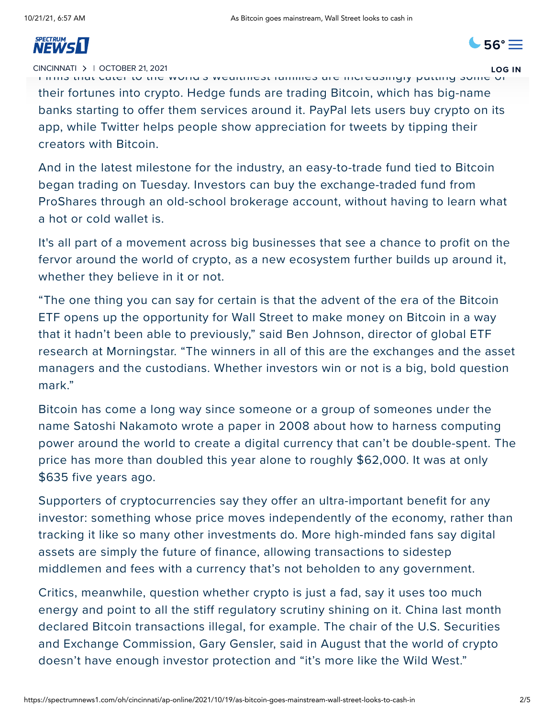

[CINCINNATI](https://spectrumnews1.com/splash.html#oh) | OCTOBER 21, 2021 **[LOG](https://spectrumnews1.com/oh/cincinnati/live-video/login) IN**

Firms that cater to the world's wealthiest families are increasingly putting some of their fortunes into crypto. Hedge funds are trading Bitcoin, which has big-name banks starting to offer them services around it. PayPal lets users buy crypto on its app, while Twitter helps people show appreciation for tweets by tipping their creators with Bitcoin.

And in the latest milestone for the industry, an easy-to-trade fund tied to Bitcoin began trading on Tuesday. Investors can buy the exchange-traded fund from ProShares through an old-school brokerage account, without having to learn what a hot or cold wallet is.

It's all part of a movement across big businesses that see a chance to profit on the fervor around the world of crypto, as a new ecosystem further builds up around it, whether they believe in it or not.

"The one thing you can say for certain is that the advent of the era of the Bitcoin ETF opens up the opportunity for Wall Street to make money on Bitcoin in a way that it hadn't been able to previously," said Ben Johnson, director of global ETF research at Morningstar. "The winners in all of this are the exchanges and the asset managers and the custodians. Whether investors win or not is a big, bold question mark."

Bitcoin has come a long way since someone or a group of someones under the name Satoshi Nakamoto wrote a paper in 2008 about how to harness computing power around the world to create a digital currency that can't be double-spent. The price has more than doubled this year alone to roughly \$62,000. It was at only \$635 five years ago.

Supporters of cryptocurrencies say they offer an ultra-important benefit for any investor: something whose price moves independently of the economy, rather than tracking it like so many other investments do. More high-minded fans say digital assets are simply the future of finance, allowing transactions to sidestep middlemen and fees with a currency that's not beholden to any government.

Critics, meanwhile, question whether crypto is just a fad, say it uses too much energy and point to all the stiff regulatory scrutiny shining on it. China last month declared Bitcoin transactions illegal, for example. The chair of the U.S. Securities and Exchange Commission, Gary Gensler, said in August that the world of crypto doesn't have enough investor protection and "it's more like the Wild West."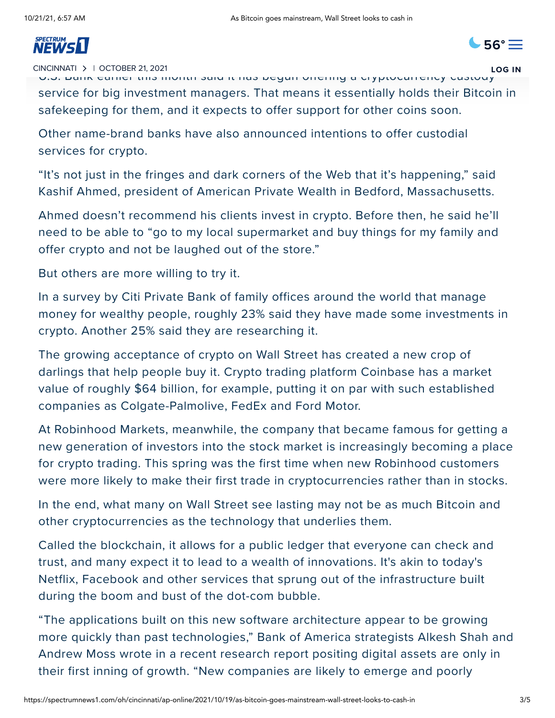## $T$ [from](https://spectrumnews1.com/oh/cincinnati) an online curiosity to a bigger part of the cultural and corporate landscape.

U.S. Bank earlier this month said it has begun offering a cryptocurrency custody [CINCINNATI](https://spectrumnews1.com/splash.html#oh) | OCTOBER 21, 2021 **[LOG](https://spectrumnews1.com/oh/cincinnati/live-video/login) IN**

 $\bullet$  [56°](https://spectrumnews1.com/oh/cincinnati/weather)  $\equiv$ 

service for big investment managers. That means it essentially holds their Bitcoin in safekeeping for them, and it expects to offer support for other coins soon.

Other name-brand banks have also announced intentions to offer custodial services for crypto.

"It's not just in the fringes and dark corners of the Web that it's happening," said Kashif Ahmed, president of American Private Wealth in Bedford, Massachusetts.

Ahmed doesn't recommend his clients invest in crypto. Before then, he said he'll need to be able to "go to my local supermarket and buy things for my family and offer crypto and not be laughed out of the store."

But others are more willing to try it.

In a survey by Citi Private Bank of family offices around the world that manage money for wealthy people, roughly 23% said they have made some investments in crypto. Another 25% said they are researching it.

The growing acceptance of crypto on Wall Street has created a new crop of darlings that help people buy it. Crypto trading platform Coinbase has a market value of roughly \$64 billion, for example, putting it on par with such established companies as Colgate-Palmolive, FedEx and Ford Motor.

At Robinhood Markets, meanwhile, the company that became famous for getting a new generation of investors into the stock market is increasingly becoming a place for crypto trading. This spring was the first time when new Robinhood customers were more likely to make their first trade in cryptocurrencies rather than in stocks.

In the end, what many on Wall Street see lasting may not be as much Bitcoin and other cryptocurrencies as the technology that underlies them.

Called the blockchain, it allows for a public ledger that everyone can check and trust, and many expect it to lead to a wealth of innovations. It's akin to today's Netflix, Facebook and other services that sprung out of the infrastructure built during the boom and bust of the dot-com bubble.

"The applications built on this new software architecture appear to be growing more quickly than past technologies," Bank of America strategists Alkesh Shah and Andrew Moss wrote in a recent research report positing digital assets are only in their first inning of growth. "New companies are likely to emerge and poorly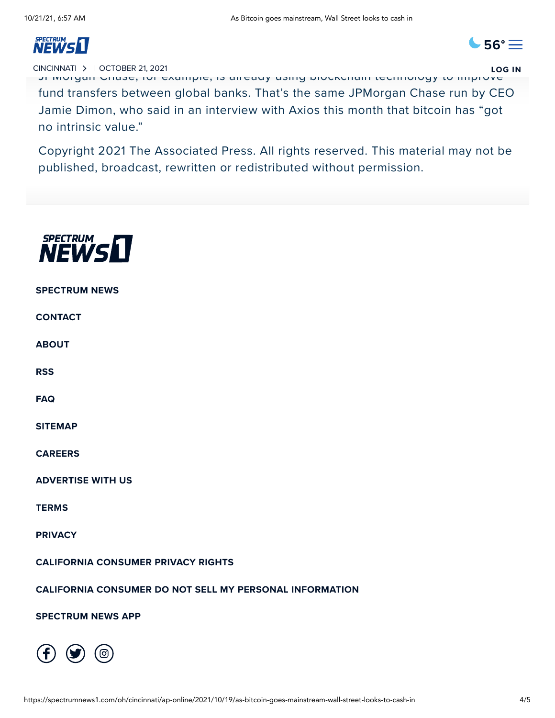

JPMorgan Chase, for example, is already using blockchain technology to improve [CINCINNATI](https://spectrumnews1.com/splash.html#oh) | OCTOBER 21, 2021 **[LOG](https://spectrumnews1.com/oh/cincinnati/live-video/login) IN**

fund transfers between global banks. That's the same JPMorgan Chase run by CEO Jamie Dimon, who said in an interview with Axios this month that bitcoin has "got no intrinsic value."

Copyright 2021 The Associated Press. All rights reserved. This material may not be published, broadcast, rewritten or redistributed without permission.